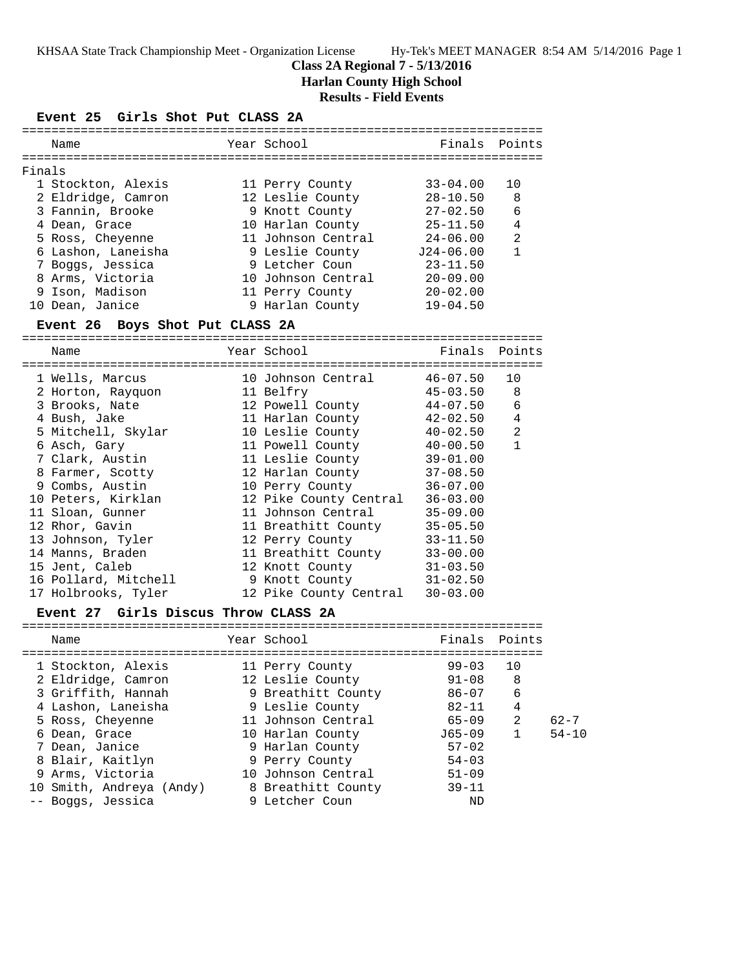# **Class 2A Regional 7 - 5/13/2016 Harlan County High School**

# **Results - Field Events**

# **Event 25 Girls Shot Put CLASS 2A**

| Name               |  |                                                                                                                                                                                                                 |                |
|--------------------|--|-----------------------------------------------------------------------------------------------------------------------------------------------------------------------------------------------------------------|----------------|
| Finals             |  |                                                                                                                                                                                                                 |                |
| 1 Stockton, Alexis |  | $33 - 04.00$                                                                                                                                                                                                    | 10             |
| 2 Eldridge, Camron |  | $28 - 10.50$                                                                                                                                                                                                    | 8              |
| 3 Fannin, Brooke   |  | $27 - 02.50$                                                                                                                                                                                                    | 6              |
| 4 Dean, Grace      |  | $25 - 11.50$                                                                                                                                                                                                    | 4              |
| 5 Ross, Cheyenne   |  | $24 - 06.00$                                                                                                                                                                                                    | $\mathfrak{D}$ |
| 6 Lashon, Laneisha |  | $J24-06.00$                                                                                                                                                                                                     |                |
| 7 Boggs, Jessica   |  | $23 - 11.50$                                                                                                                                                                                                    |                |
| 8 Arms, Victoria   |  | $20 - 09.00$                                                                                                                                                                                                    |                |
| 9 Ison, Madison    |  | $20 - 02.00$                                                                                                                                                                                                    |                |
| 10 Dean, Janice    |  | $19 - 04.50$                                                                                                                                                                                                    |                |
|                    |  | Year School<br>11 Perry County<br>12 Leslie County<br>9 Knott County<br>10 Harlan County<br>11 Johnson Central<br>9 Leslie County<br>9 Letcher Coun<br>10 Johnson Central<br>11 Perry County<br>9 Harlan County | Finals Points  |

# **Event 26 Boys Shot Put CLASS 2A**

=======================================================================

| Name                 | Year School            | Finals       | Points       |
|----------------------|------------------------|--------------|--------------|
| 1 Wells, Marcus      | 10 Johnson Central     | 46-07.50     | 10           |
| 2 Horton, Rayquon    | 11 Belfry              | $45 - 03.50$ | 8            |
| 3 Brooks, Nate       | 12 Powell County       | $44 - 07.50$ | 6            |
| 4 Bush, Jake         | 11 Harlan County       | 42-02.50     | 4            |
| 5 Mitchell, Skylar   | 10 Leslie County       | $40 - 02.50$ | 2            |
| 6 Asch, Gary         | 11 Powell County       | $40 - 00.50$ | $\mathbf{1}$ |
| 7 Clark, Austin      | 11 Leslie County       | $39 - 01.00$ |              |
| 8 Farmer, Scotty     | 12 Harlan County       | $37 - 08.50$ |              |
| 9 Combs, Austin      | 10 Perry County        | $36 - 07.00$ |              |
| 10 Peters, Kirklan   | 12 Pike County Central | $36 - 03.00$ |              |
| 11 Sloan, Gunner     | 11 Johnson Central     | $35 - 09.00$ |              |
| 12 Rhor, Gavin       | 11 Breathitt County    | $35 - 05.50$ |              |
| 13 Johnson, Tyler    | 12 Perry County        | $33 - 11.50$ |              |
| 14 Manns, Braden     | 11 Breathitt County    | $33 - 00.00$ |              |
| 15 Jent, Caleb       | 12 Knott County        | $31 - 03.50$ |              |
| 16 Pollard, Mitchell | 9 Knott County         | $31 - 02.50$ |              |
| 17 Holbrooks, Tyler  | 12 Pike County Central | $30 - 03.00$ |              |

# **Event 27 Girls Discus Throw CLASS 2A**

| Name                     | Year School        | Finals Points |                |           |
|--------------------------|--------------------|---------------|----------------|-----------|
| 1 Stockton, Alexis       | 11 Perry County    | $99 - 03$     | 10             |           |
| 2 Eldridge, Camron       | 12 Leslie County   | 91-08         | 8              |           |
| 3 Griffith, Hannah       | 9 Breathitt County | $86 - 07$     | 6              |           |
| 4 Lashon, Laneisha       | 9 Leslie County    | $82 - 11$     | 4              |           |
| 5 Ross, Cheyenne         | 11 Johnson Central | 65-09         | $\overline{2}$ | $62 - 7$  |
| 6 Dean, Grace            | 10 Harlan County   | $J65 - 09$    |                | $54 - 10$ |
| 7 Dean, Janice           | 9 Harlan County    | $57 - 02$     |                |           |
| 8 Blair, Kaitlyn         | 9 Perry County     | $54 - 03$     |                |           |
| 9 Arms, Victoria         | 10 Johnson Central | $51 - 09$     |                |           |
| 10 Smith, Andreya (Andy) | 8 Breathitt County | $39 - 11$     |                |           |
| -- Boggs, Jessica        | 9 Letcher Coun     | ND            |                |           |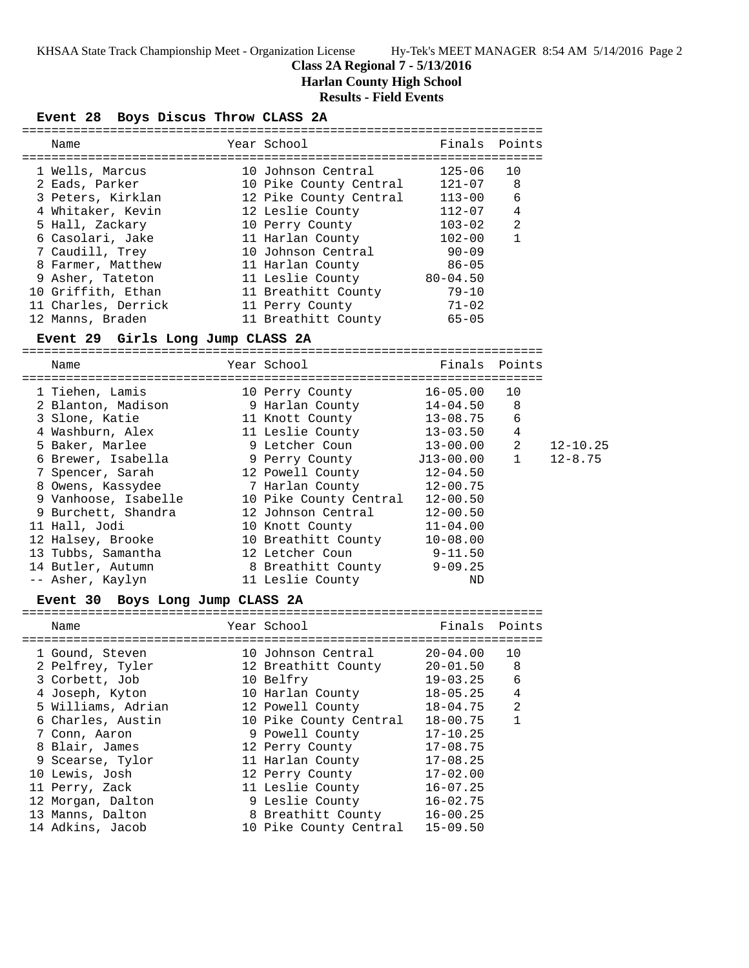# **Class 2A Regional 7 - 5/13/2016**

**Harlan County High School**

# **Results - Field Events**

# **Event 28 Boys Discus Throw CLASS 2A**

| Name                | Year School            | Finals Points |                |
|---------------------|------------------------|---------------|----------------|
|                     |                        |               |                |
| 1 Wells, Marcus     | 10 Johnson Central     | $125 - 06$    | 10             |
| 2 Eads, Parker      | 10 Pike County Central | $121 - 07$    | 8              |
| 3 Peters, Kirklan   | 12 Pike County Central | $113 - 00$    | 6              |
| 4 Whitaker, Kevin   | 12 Leslie County       | $112 - 07$    | $\overline{4}$ |
| 5 Hall, Zackary     | 10 Perry County        | $103 - 02$    | $\mathfrak{D}$ |
| 6 Casolari, Jake    | 11 Harlan County       | $102 - 00$    |                |
| 7 Caudill, Trey     | 10 Johnson Central     | $90 - 09$     |                |
| 8 Farmer, Matthew   | 11 Harlan County       | $86 - 05$     |                |
| 9 Asher, Tateton    | 11 Leslie County       | $80 - 04.50$  |                |
| 10 Griffith, Ethan  | 11 Breathitt County    | $79 - 10$     |                |
| 11 Charles, Derrick | 11 Perry County        | $71 - 02$     |                |
| 12 Manns, Braden    | 11 Breathitt County    | $65 - 05$     |                |

# **Event 29 Girls Long Jump CLASS 2A**

| Name                 | Year School                  | Finals Points |                |              |
|----------------------|------------------------------|---------------|----------------|--------------|
|                      | ============================ |               |                |              |
| 1 Tiehen, Lamis      | 10 Perry County              | 16-05.00      | 10             |              |
| 2 Blanton, Madison   | 9 Harlan County              | 14-04.50      | 8              |              |
| 3 Slone, Katie       | 11 Knott County              | 13-08.75      | 6              |              |
| 4 Washburn, Alex     | 11 Leslie County 13-03.50    |               | 4              |              |
| 5 Baker, Marlee      | 9 Letcher Coun               | $13 - 00.00$  | 2              | $12 - 10.25$ |
| 6 Brewer, Isabella   | 9 Perry County               | J13-00.00     | $\overline{1}$ | $12 - 8.75$  |
| 7 Spencer, Sarah     | 12 Powell County             | $12 - 04.50$  |                |              |
| 8 Owens, Kassydee    | 7 Harlan County              | $12 - 00.75$  |                |              |
| 9 Vanhoose, Isabelle | 10 Pike County Central       | $12 - 00.50$  |                |              |
| 9 Burchett, Shandra  | 12 Johnson Central           | $12 - 00.50$  |                |              |
| 11 Hall, Jodi        | 10 Knott County              | $11 - 04.00$  |                |              |
| 12 Halsey, Brooke    | 10 Breathitt County          | $10 - 08.00$  |                |              |
| 13 Tubbs, Samantha   | 12 Letcher Coun              | $9 - 11.50$   |                |              |
| 14 Butler, Autumn    | 8 Breathitt County           | $9 - 09.25$   |                |              |
| -- Asher, Kaylyn     | 11 Leslie County             | ND            |                |              |

#### **Event 30 Boys Long Jump CLASS 2A**

| Name               | Year School            | Finals       | Points       |
|--------------------|------------------------|--------------|--------------|
|                    |                        |              |              |
| 1 Gound, Steven    | 10 Johnson Central     | $20 - 04.00$ | 10           |
| 2 Pelfrey, Tyler   | 12 Breathitt County    | $20 - 01.50$ | 8            |
| 3 Corbett, Job     | 10 Belfry              | $19 - 03.25$ | 6            |
| 4 Joseph, Kyton    | 10 Harlan County       | $18 - 05.25$ | 4            |
| 5 Williams, Adrian | 12 Powell County       | $18 - 04.75$ | 2            |
| 6 Charles, Austin  | 10 Pike County Central | $18 - 00.75$ | $\mathbf{1}$ |
| 7 Conn, Aaron      | 9 Powell County        | $17 - 10.25$ |              |
| 8 Blair, James     | 12 Perry County        | $17 - 08.75$ |              |
| 9 Scearse, Tylor   | 11 Harlan County       | $17 - 08.25$ |              |
| 10 Lewis, Josh     | 12 Perry County        | $17 - 02.00$ |              |
| 11 Perry, Zack     | 11 Leslie County       | $16 - 07.25$ |              |
| 12 Morgan, Dalton  | 9 Leslie County        | $16 - 02.75$ |              |
| 13 Manns, Dalton   | 8 Breathitt County     | $16 - 00.25$ |              |
| 14 Adkins, Jacob   | 10 Pike County Central | $15 - 09.50$ |              |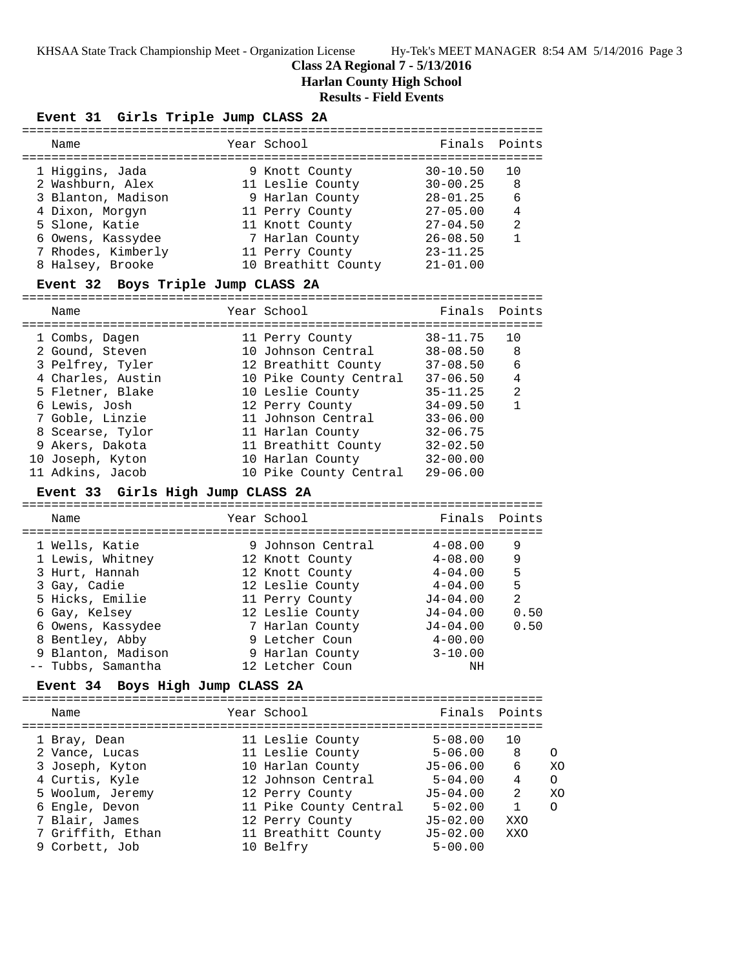#### **Class 2A Regional 7 - 5/13/2016**

**Harlan County High School**

# **Results - Field Events**

#### **Event 31 Girls Triple Jump CLASS 2A**

| Name               | Year School         | Finals Points |                |
|--------------------|---------------------|---------------|----------------|
| 1 Higgins, Jada    | 9 Knott County      | $30 - 10.50$  | 1 N            |
| 2 Washburn, Alex   | 11 Leslie County    | $30 - 00.25$  | 8              |
| 3 Blanton, Madison | 9 Harlan County     | $28 - 01.25$  | 6              |
| 4 Dixon, Morgyn    | 11 Perry County     | $27 - 05.00$  | $\overline{4}$ |
| 5 Slone, Katie     | 11 Knott County     | $27 - 04.50$  | 2              |
| 6 Owens, Kassydee  | 7 Harlan County     | $26 - 08.50$  |                |
| 7 Rhodes, Kimberly | 11 Perry County     | $23 - 11.25$  |                |
| 8 Halsey, Brooke   | 10 Breathitt County | $21 - 01.00$  |                |
|                    |                     |               |                |

#### **Event 32 Boys Triple Jump CLASS 2A**

======================================================================= Name Tear School Tear School Finals Points ======================================================================= 1 Combs, Dagen 11 Perry County 38-11.75 10 2 Gound, Steven 10 Johnson Central 38-08.50 8 3 Pelfrey, Tyler 12 Breathitt County 37-08.50 6 4 Charles, Austin 10 Pike County Central 37-06.50 4 5 Fletner, Blake 10 Leslie County 35-11.25 2 6 Lewis, Josh 12 Perry County 34-09.50 1 7 Goble, Linzie 11 Johnson Central 33-06.00 8 Scearse, Tylor 11 Harlan County 32-06.75 9 Akers, Dakota 11 Breathitt County 32-02.50 10 Joseph, Kyton 10 Harlan County 32-00.00 11 Adkins, Jacob 10 Pike County Central 29-06.00

#### **Event 33 Girls High Jump CLASS 2A**

| Name                               | Year School                          | Finals Points              |        |
|------------------------------------|--------------------------------------|----------------------------|--------|
| 1 Wells, Katie<br>1 Lewis, Whitney | 9 Johnson Central<br>12 Knott County | $4 - 08.00$<br>$4 - 08.00$ | 9<br>9 |
| 3 Hurt, Hannah                     | 12 Knott County                      | $4 - 04.00$                | 5      |
| 3 Gay, Cadie                       | 12 Leslie County                     | $4 - 04.00$                | 5      |
| 5 Hicks, Emilie                    | 11 Perry County                      | $J4 - 04.00$               | 2      |
| 6 Gay, Kelsey                      | 12 Leslie County                     | $J4 - 04.00$               | 0.50   |
| 6 Owens, Kassydee                  | 7 Harlan County                      | $J4 - 04.00$               | 0.50   |
| 8 Bentley, Abby                    | 9 Letcher Coun                       | $4 - 00.00$                |        |
| 9 Blanton, Madison                 | 9 Harlan County                      | $3 - 10.00$                |        |
| -- Tubbs, Samantha                 | 12 Letcher Coun                      | ΝH                         |        |

#### **Event 34 Boys High Jump CLASS 2A**

| Name              | Year School            | Finals Points |                |          |
|-------------------|------------------------|---------------|----------------|----------|
| 1 Bray, Dean      | 11 Leslie County       | $5 - 08.00$   | 10             |          |
| 2 Vance, Lucas    | 11 Leslie County       | $5 - 06.00$   | -8             | $\Omega$ |
| 3 Joseph, Kyton   | 10 Harlan County       | J5-06.00      | 6              | XO       |
| 4 Curtis, Kyle    | 12 Johnson Central     | $5 - 04.00$   | 4              | $\Omega$ |
| 5 Woolum, Jeremy  | 12 Perry County        | $J5 - 04.00$  | $\mathfrak{D}$ | XO       |
| 6 Engle, Devon    | 11 Pike County Central | $5 - 02.00$   | $\mathbf{1}$   | $\Omega$ |
| 7 Blair, James    | 12 Perry County        | $J5-02.00$    | XXO            |          |
| 7 Griffith, Ethan | 11 Breathitt County    | $J5 - 02.00$  | XXO            |          |
| 9 Corbett, Job    | 10 Belfry              | $5 - 00.00$   |                |          |
|                   |                        |               |                |          |